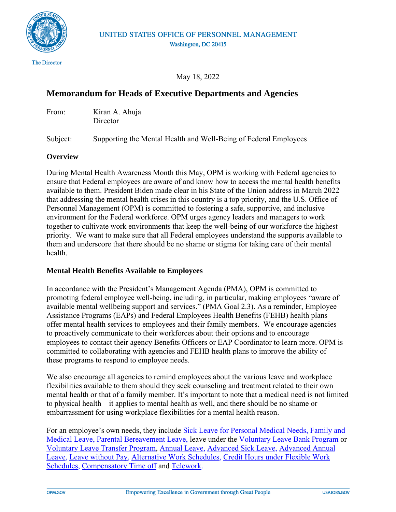

## UNITED STATES OFFICE OF PERSONNEL MANAGEMENT Washington, DC 20415

May 18, 2022

# **Memorandum for Heads of Executive Departments and Agencies**

From: Kiran A. Ahuja **Director** 

Subject: Supporting the Mental Health and Well-Being of Federal Employees

#### **Overview**

During Mental Health Awareness Month this May, OPM is working with Federal agencies to ensure that Federal employees are aware of and know how to access the mental health benefits available to them. President Biden made clear in his State of the Union address in March 2022 that addressing the mental health crises in this country is a top priority, and the U.S. Office of Personnel Management (OPM) is committed to fostering a safe, supportive, and inclusive environment for the Federal workforce. OPM urges agency leaders and managers to work together to cultivate work environments that keep the well-being of our workforce the highest priority. We want to make sure that all Federal employees understand the supports available to them and underscore that there should be no shame or stigma for taking care of their mental health.

## **Mental Health Benefits Available to Employees**

In accordance with the President's Management Agenda (PMA), OPM is committed to promoting federal employee well-being, including, in particular, making employees "aware of available mental wellbeing support and services." (PMA Goal 2.3). As a reminder, Employee Assistance Programs (EAPs) and Federal Employees Health Benefits (FEHB) health plans offer mental health services to employees and their family members. We encourage agencies to proactively communicate to their workforces about their options and to encourage employees to contact their agency Benefits Officers or EAP Coordinator to learn more. OPM is committed to collaborating with agencies and FEHB health plans to improve the ability of these programs to respond to employee needs.

We also encourage all agencies to remind employees about the various leave and workplace flexibilities available to them should they seek counseling and treatment related to their own mental health or that of a family member. It's important to note that a medical need is not limited to physical health – it applies to mental health as well, and there should be no shame or embarrassment for using workplace flexibilities for a mental health reason.

For an employee's own needs, they include [Sick Leave for Personal Medical Needs,](https://www.opm.gov/policy-data-oversight/pay-leave/leave-administration/fact-sheets/personal-sick-leave/) Family and [Medical Leave,](https://www.opm.gov/policy-data-oversight/pay-leave/leave-administration/fact-sheets/family-and-medical-leave/) [Parental Bereavement Leave,](https://www.chcoc.gov/content/parental-bereavement-leave) leave under the [Voluntary Leave Bank Program](https://www.opm.gov/policy-data-oversight/pay-leave/leave-administration/fact-sheets/voluntary-leave-bank-program/) or [Voluntary Leave Transfer Program,](https://www.opm.gov/policy-data-oversight/pay-leave/leave-administration/fact-sheets/voluntary-leave-transfer-program/) [Annual Leave,](https://www.opm.gov/policy-data-oversight/pay-leave/leave-administration/fact-sheets/annual-leave/) [Advanced Sick Leave,](https://www.opm.gov/policy-data-oversight/pay-leave/leave-administration/fact-sheets/advanced-sick-leave/) [Advanced Annual](https://www.opm.gov/policy-data-oversight/pay-leave/leave-administration/fact-sheets/advanced-annual-leave/)  [Leave,](https://www.opm.gov/policy-data-oversight/pay-leave/leave-administration/fact-sheets/advanced-annual-leave/) [Leave without Pay,](https://www.opm.gov/policy-data-oversight/pay-leave/leave-administration/fact-sheets/leave-without-pay/) [Alternative Work Schedules,](https://www.opm.gov/policy-data-oversight/pay-leave/reference-materials/handbooks/alternative-work-schedules/) [Credit Hours under Flexible Work](https://www.opm.gov/policy-data-oversight/pay-leave/work-schedules/fact-sheets/credit-hours-under-a-flexible-work-schedule/)  [Schedules,](https://www.opm.gov/policy-data-oversight/pay-leave/work-schedules/fact-sheets/credit-hours-under-a-flexible-work-schedule/) [Compensatory Time off](https://www.opm.gov/policy-data-oversight/pay-leave/pay-administration/fact-sheets/compensatory-time-off/) and [Telework.](https://www.telework.gov/)